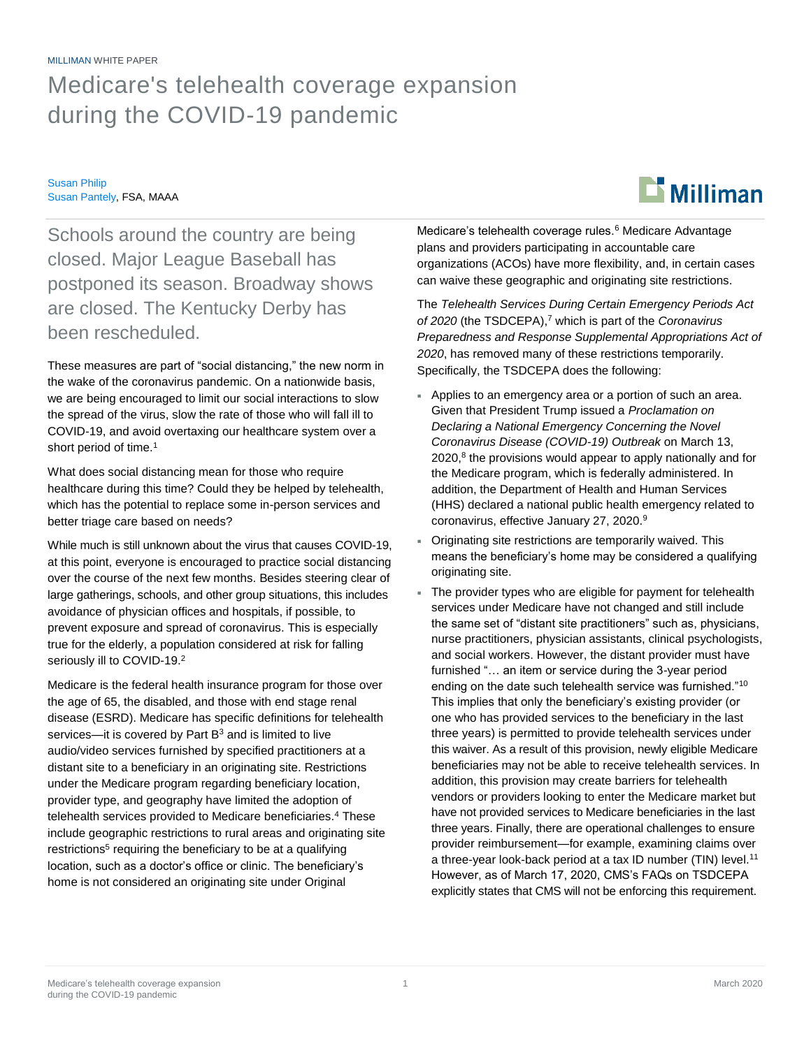## MILLIMAN WHITE PAPER Medicare's telehealth coverage expansion during the COVID-19 pandemic

Susan Philip Susan Pantely, FSA, MAAA



Schools around the country are being closed. Major League Baseball has postponed its season. Broadway shows are closed. The Kentucky Derby has been rescheduled.

These measures are part of "social distancing," the new norm in the wake of the coronavirus pandemic. On a nationwide basis, we are being encouraged to limit our social interactions to slow the spread of the virus, slow the rate of those who will fall ill to COVID-19, and avoid overtaxing our healthcare system over a short period of time.<sup>1</sup>

What does social distancing mean for those who require healthcare during this time? Could they be helped by telehealth, which has the potential to replace some in-person services and better triage care based on needs?

While much is still unknown about the virus that causes COVID-19, at this point, everyone is encouraged to practice social distancing over the course of the next few months. Besides steering clear of large gatherings, schools, and other group situations, this includes avoidance of physician offices and hospitals, if possible, to prevent exposure and spread of coronavirus. This is especially true for the elderly, a population considered at risk for falling seriously ill to COVID-19.<sup>2</sup>

Medicare is the federal health insurance program for those over the age of 65, the disabled, and those with end stage renal disease (ESRD). Medicare has specific definitions for telehealth services—it is covered by Part  $B<sup>3</sup>$  and is limited to live audio/video services furnished by specified practitioners at a distant site to a beneficiary in an originating site. Restrictions under the Medicare program regarding beneficiary location, provider type, and geography have limited the adoption of telehealth services provided to Medicare beneficiaries.<sup>4</sup> These include geographic restrictions to rural areas and originating site restrictions<sup>5</sup> requiring the beneficiary to be at a qualifying location, such as a doctor's office or clinic. The beneficiary's home is not considered an originating site under Original

Medicare's telehealth coverage rules.<sup>6</sup> Medicare Advantage plans and providers participating in accountable care organizations (ACOs) have more flexibility, and, in certain cases can waive these geographic and originating site restrictions.

The *Telehealth Services During Certain Emergency Periods Act of 2020* (the TSDCEPA),<sup>7</sup> which is part of the *Coronavirus Preparedness and Response Supplemental Appropriations Act of 2020*, has removed many of these restrictions temporarily. Specifically, the TSDCEPA does the following:

- Applies to an emergency area or a portion of such an area. Given that President Trump issued a *Proclamation on Declaring a National Emergency Concerning the Novel Coronavirus Disease (COVID-19) Outbreak* on March 13, 2020,<sup>8</sup> the provisions would appear to apply nationally and for the Medicare program, which is federally administered. In addition, the Department of Health and Human Services (HHS) declared a national public health emergency related to coronavirus, effective January 27, 2020.<sup>9</sup>
- Originating site restrictions are temporarily waived. This means the beneficiary's home may be considered a qualifying originating site.
- The provider types who are eligible for payment for telehealth services under Medicare have not changed and still include the same set of "distant site practitioners" such as, physicians, nurse practitioners, physician assistants, clinical psychologists, and social workers. However, the distant provider must have furnished "… an item or service during the 3-year period ending on the date such telehealth service was furnished."<sup>10</sup> This implies that only the beneficiary's existing provider (or one who has provided services to the beneficiary in the last three years) is permitted to provide telehealth services under this waiver. As a result of this provision, newly eligible Medicare beneficiaries may not be able to receive telehealth services. In addition, this provision may create barriers for telehealth vendors or providers looking to enter the Medicare market but have not provided services to Medicare beneficiaries in the last three years. Finally, there are operational challenges to ensure provider reimbursement—for example, examining claims over a three-year look-back period at a tax ID number (TIN) level.<sup>11</sup> However, as of March 17, 2020, CMS's FAQs on TSDCEPA explicitly states that CMS will not be enforcing this requirement.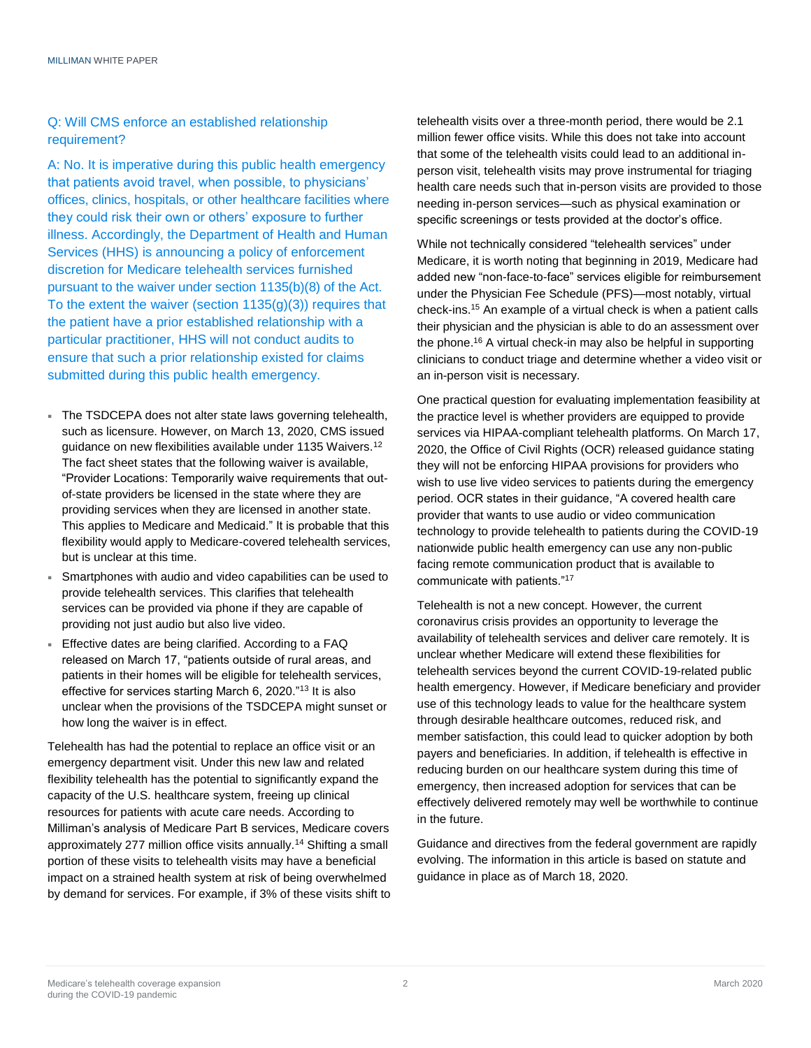### Q: Will CMS enforce an established relationship requirement?

A: No. It is imperative during this public health emergency that patients avoid travel, when possible, to physicians' offices, clinics, hospitals, or other healthcare facilities where they could risk their own or others' exposure to further illness. Accordingly, the Department of Health and Human Services (HHS) is announcing a policy of enforcement discretion for Medicare telehealth services furnished pursuant to the waiver under section 1135(b)(8) of the Act. To the extent the waiver (section 1135(g)(3)) requires that the patient have a prior established relationship with a particular practitioner, HHS will not conduct audits to ensure that such a prior relationship existed for claims submitted during this public health emergency.

- The TSDCEPA does not alter state laws governing telehealth, such as licensure. However, on March 13, 2020, CMS issued guidance on new flexibilities available under 1135 Waivers.<sup>12</sup> The fact sheet states that the following waiver is available, "Provider Locations: Temporarily waive requirements that outof-state providers be licensed in the state where they are providing services when they are licensed in another state. This applies to Medicare and Medicaid." It is probable that this flexibility would apply to Medicare-covered telehealth services, but is unclear at this time.
- Smartphones with audio and video capabilities can be used to provide telehealth services. This clarifies that telehealth services can be provided via phone if they are capable of providing not just audio but also live video.
- Effective dates are being clarified. According to a FAQ released on March 17, "patients outside of rural areas, and patients in their homes will be eligible for telehealth services, effective for services starting March 6, 2020."<sup>13</sup> It is also unclear when the provisions of the TSDCEPA might sunset or how long the waiver is in effect.

Telehealth has had the potential to replace an office visit or an emergency department visit. Under this new law and related flexibility telehealth has the potential to significantly expand the capacity of the U.S. healthcare system, freeing up clinical resources for patients with acute care needs. According to Milliman's analysis of Medicare Part B services, Medicare covers approximately 277 million office visits annually.<sup>14</sup> Shifting a small portion of these visits to telehealth visits may have a beneficial impact on a strained health system at risk of being overwhelmed by demand for services. For example, if 3% of these visits shift to telehealth visits over a three-month period, there would be 2.1 million fewer office visits. While this does not take into account that some of the telehealth visits could lead to an additional inperson visit, telehealth visits may prove instrumental for triaging health care needs such that in-person visits are provided to those needing in-person services—such as physical examination or specific screenings or tests provided at the doctor's office.

While not technically considered "telehealth services" under Medicare, it is worth noting that beginning in 2019, Medicare had added new "non-face-to-face" services eligible for reimbursement under the Physician Fee Schedule (PFS)—most notably, virtual check-ins.<sup>15</sup> An example of a virtual check is when a patient calls their physician and the physician is able to do an assessment over the phone.<sup>16</sup> A virtual check-in may also be helpful in supporting clinicians to conduct triage and determine whether a video visit or an in-person visit is necessary.

One practical question for evaluating implementation feasibility at the practice level is whether providers are equipped to provide services via HIPAA-compliant telehealth platforms. On March 17, 2020, the Office of Civil Rights (OCR) released guidance stating they will not be enforcing HIPAA provisions for providers who wish to use live video services to patients during the emergency period. OCR states in their guidance, "A covered health care provider that wants to use audio or video communication technology to provide telehealth to patients during the COVID-19 nationwide public health emergency can use any non-public facing remote communication product that is available to communicate with patients."<sup>17</sup>

Telehealth is not a new concept. However, the current coronavirus crisis provides an opportunity to leverage the availability of telehealth services and deliver care remotely. It is unclear whether Medicare will extend these flexibilities for telehealth services beyond the current COVID-19-related public health emergency. However, if Medicare beneficiary and provider use of this technology leads to value for the healthcare system through desirable healthcare outcomes, reduced risk, and member satisfaction, this could lead to quicker adoption by both payers and beneficiaries. In addition, if telehealth is effective in reducing burden on our healthcare system during this time of emergency, then increased adoption for services that can be effectively delivered remotely may well be worthwhile to continue in the future.

Guidance and directives from the federal government are rapidly evolving. The information in this article is based on statute and guidance in place as of March 18, 2020.